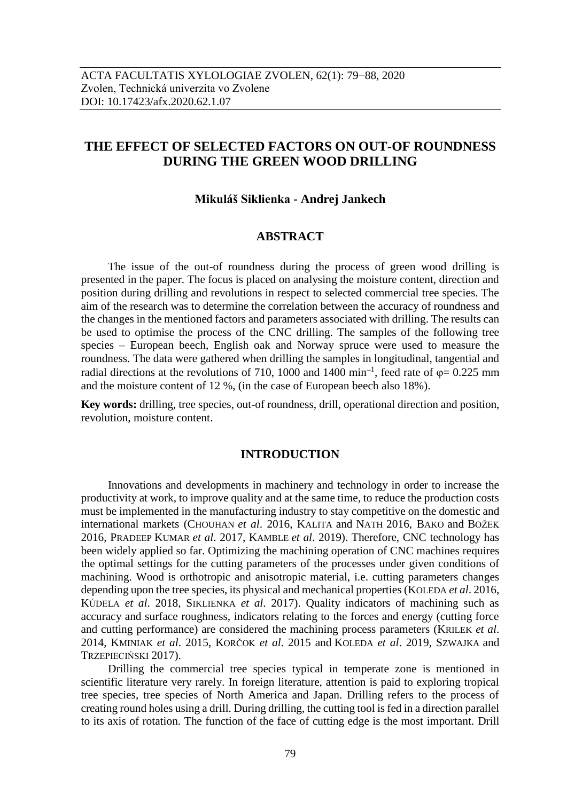# **THE EFFECT OF SELECTED FACTORS ON OUT-OF ROUNDNESS DURING THE GREEN WOOD DRILLING**

### **Mikuláš Siklienka - Andrej Jankech**

## **ABSTRACT**

The issue of the out-of roundness during the process of green wood drilling is presented in the paper. The focus is placed on analysing the moisture content, direction and position during drilling and revolutions in respect to selected commercial tree species. The aim of the research was to determine the correlation between the accuracy of roundness and the changes in the mentioned factors and parameters associated with drilling. The results can be used to optimise the process of the CNC drilling. The samples of the following tree species – European beech, English oak and Norway spruce were used to measure the roundness. The data were gathered when drilling the samples in longitudinal, tangential and radial directions at the revolutions of 710, 1000 and 1400 min<sup>-1</sup>, feed rate of  $\varphi$  = 0.225 mm and the moisture content of 12 %, (in the case of European beech also 18%).

**Key words:** drilling, tree species, out-of roundness, drill, operational direction and position, revolution, moisture content.

### **INTRODUCTION**

Innovations and developments in machinery and technology in order to increase the productivity at work, to improve quality and at the same time, to reduce the production costs must be implemented in the manufacturing industry to stay competitive on the domestic and international markets (CHOUHAN *et al*. 2016, KALITA and NATH 2016, BAKO and BOŽEK 2016, PRADEEP KUMAR *et al*. 2017, KAMBLE *et al*. 2019). Therefore, CNC technology has been widely applied so far. Optimizing the machining operation of CNC machines requires the optimal settings for the cutting parameters of the processes under given conditions of machining. Wood is orthotropic and anisotropic material, i.e. cutting parameters changes depending upon the tree species, its physical and mechanical properties (KOLEDA *et al*. 2016, KÚDELA *et al*. 2018, SIKLIENKA *et al*. 2017). Quality indicators of machining such as accuracy and surface roughness, indicators relating to the forces and energy (cutting force and cutting performance) are considered the machining process parameters (KRILEK *et al*. 2014, KMINIAK *et al*. 2015, KORČOK *et al*. 2015 and KOLEDA *et al*. 2019, SZWAJKA and TRZEPIECIŃSKI 2017).

Drilling the commercial tree species typical in temperate zone is mentioned in scientific literature very rarely. In foreign literature, attention is paid to exploring tropical tree species, tree species of North America and Japan. Drilling refers to the process of creating round holes using a drill. During drilling, the cutting tool is fed in a direction parallel to its axis of rotation. The function of the face of cutting edge is the most important. Drill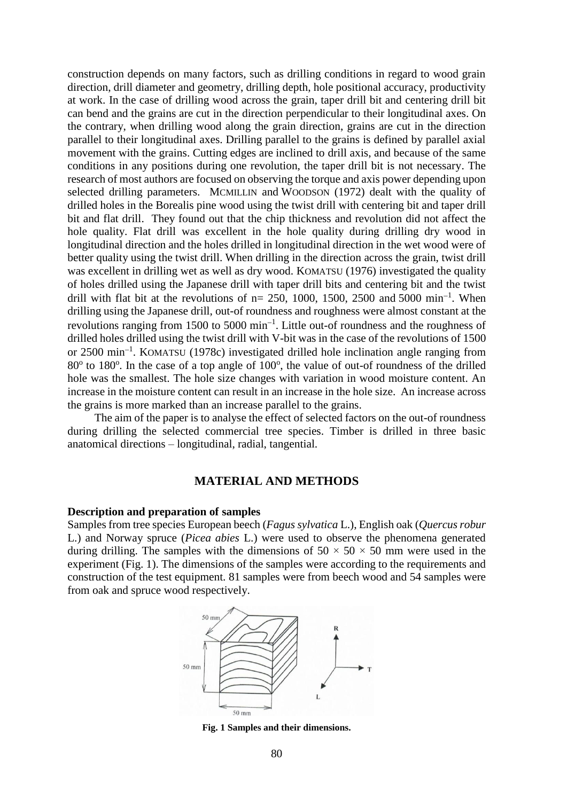construction depends on many factors, such as drilling conditions in regard to wood grain direction, drill diameter and geometry, drilling depth, hole positional accuracy, productivity at work. In the case of drilling wood across the grain, taper drill bit and centering drill bit can bend and the grains are cut in the direction perpendicular to their longitudinal axes. On the contrary, when drilling wood along the grain direction, grains are cut in the direction parallel to their longitudinal axes. Drilling parallel to the grains is defined by parallel axial movement with the grains. Cutting edges are inclined to drill axis, and because of the same conditions in any positions during one revolution, the taper drill bit is not necessary. The research of most authors are focused on observing the torque and axis power depending upon selected drilling parameters. MCMILLIN and WOODSON (1972) dealt with the quality of drilled holes in the Borealis pine wood using the twist drill with centering bit and taper drill bit and flat drill. They found out that the chip thickness and revolution did not affect the hole quality. Flat drill was excellent in the hole quality during drilling dry wood in longitudinal direction and the holes drilled in longitudinal direction in the wet wood were of better quality using the twist drill. When drilling in the direction across the grain, twist drill was excellent in drilling wet as well as dry wood. KOMATSU (1976) investigated the quality of holes drilled using the Japanese drill with taper drill bits and centering bit and the twist drill with flat bit at the revolutions of  $n = 250$ , 1000, 1500, 2500 and 5000 min<sup>-1</sup>. When drilling using the Japanese drill, out-of roundness and roughness were almost constant at the revolutions ranging from 1500 to 5000  $min^{-1}$ . Little out-of roundness and the roughness of drilled holes drilled using the twist drill with V-bit was in the case of the revolutions of 1500 or  $2500 \text{ min}^{-1}$ . KOMATSU (1978c) investigated drilled hole inclination angle ranging from  $80^\circ$  to  $180^\circ$ . In the case of a top angle of  $100^\circ$ , the value of out-of roundness of the drilled hole was the smallest. The hole size changes with variation in wood moisture content. An increase in the moisture content can result in an increase in the hole size. An increase across the grains is more marked than an increase parallel to the grains.

The aim of the paper is to analyse the effect of selected factors on the out-of roundness during drilling the selected commercial tree species. Timber is drilled in three basic anatomical directions – longitudinal, radial, tangential.

## **MATERIAL AND METHODS**

#### **Description and preparation of samples**

Samples from tree species European beech (*Fagus sylvatica* L.), English oak (*Quercus robur* L.) and Norway spruce (*Picea abies* L.) were used to observe the phenomena generated during drilling. The samples with the dimensions of  $50 \times 50 \times 50$  mm were used in the experiment (Fig. 1). The dimensions of the samples were according to the requirements and construction of the test equipment. 81 samples were from beech wood and 54 samples were from oak and spruce wood respectively.



**Fig. 1 Samples and their dimensions.**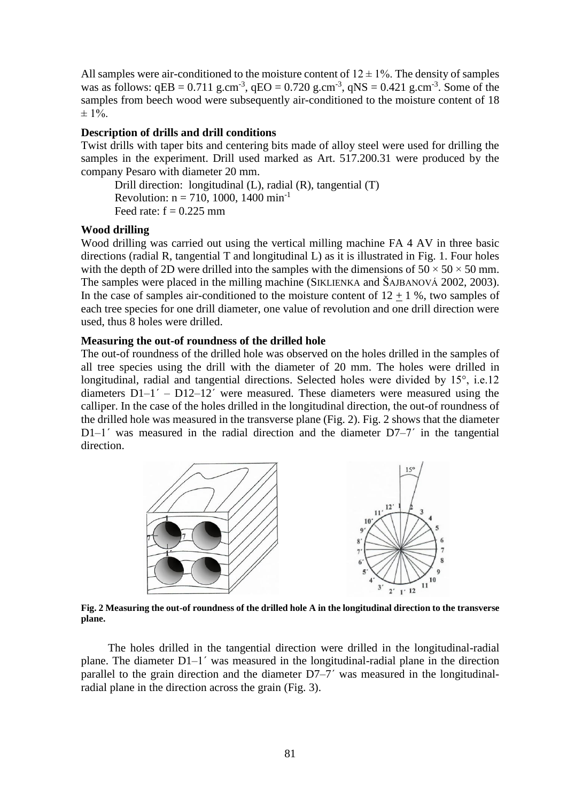All samples were air-conditioned to the moisture content of  $12 \pm 1\%$ . The density of samples was as follows:  $qEB = 0.711$  g.cm<sup>-3</sup>,  $qEO = 0.720$  g.cm<sup>-3</sup>,  $qNS = 0.421$  g.cm<sup>-3</sup>. Some of the samples from beech wood were subsequently air-conditioned to the moisture content of 18  $± 1\%$ .

## **Description of drills and drill conditions**

Twist drills with taper bits and centering bits made of alloy steel were used for drilling the samples in the experiment. Drill used marked as Art. 517.200.31 were produced by the company Pesaro with diameter 20 mm.

Drill direction: longitudinal (L), radial (R), tangential (T) Revolution:  $n = 710, 1000, 1400 \text{ min}^{-1}$ Feed rate:  $f = 0.225$  mm

### **Wood drilling**

Wood drilling was carried out using the vertical milling machine FA 4 AV in three basic directions (radial R, tangential T and longitudinal L) as it is illustrated in Fig. 1. Four holes with the depth of 2D were drilled into the samples with the dimensions of  $50 \times 50 \times 50$  mm. The samples were placed in the milling machine (SIKLIENKA and ŠAJBANOVÁ 2002, 2003). In the case of samples air-conditioned to the moisture content of  $12 + 1$  %, two samples of each tree species for one drill diameter, one value of revolution and one drill direction were used, thus 8 holes were drilled.

### **Measuring the out-of roundness of the drilled hole**

The out-of roundness of the drilled hole was observed on the holes drilled in the samples of all tree species using the drill with the diameter of 20 mm. The holes were drilled in longitudinal, radial and tangential directions. Selected holes were divided by 15°, i.e.12 diameters  $D1-1' - D12-12'$  were measured. These diameters were measured using the calliper. In the case of the holes drilled in the longitudinal direction, the out-of roundness of the drilled hole was measured in the transverse plane (Fig. 2). Fig. 2 shows that the diameter  $D1-1'$  was measured in the radial direction and the diameter  $D7-7'$  in the tangential direction.



**Fig. 2 Measuring the out-of roundness of the drilled hole A in the longitudinal direction to the transverse plane.**

The holes drilled in the tangential direction were drilled in the longitudinal-radial plane. The diameter D1–1´ was measured in the longitudinal-radial plane in the direction parallel to the grain direction and the diameter D7–7´ was measured in the longitudinalradial plane in the direction across the grain (Fig. 3).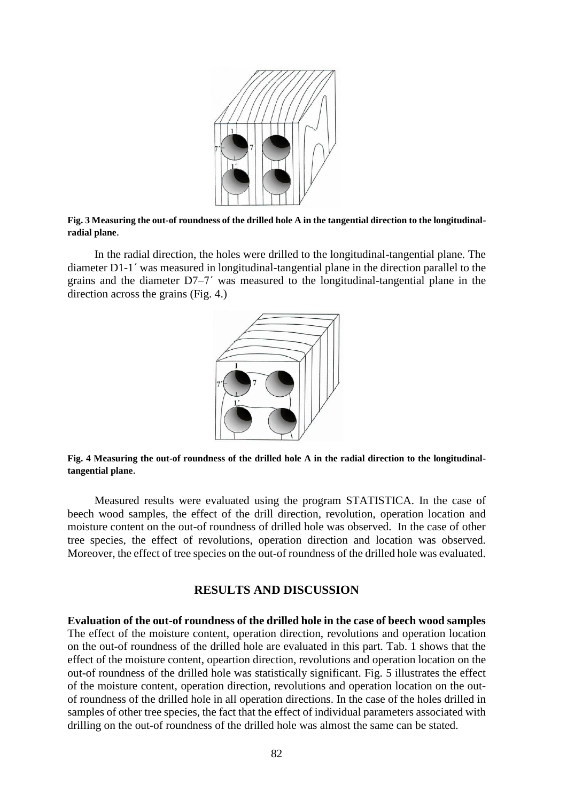

**Fig. 3 Measuring the out-of roundness of the drilled hole A in the tangential direction to the longitudinalradial plane**.

In the radial direction, the holes were drilled to the longitudinal-tangential plane. The diameter D1-1´ was measured in longitudinal-tangential plane in the direction parallel to the grains and the diameter D7–7´ was measured to the longitudinal-tangential plane in the direction across the grains (Fig. 4.)



**Fig. 4 Measuring the out-of roundness of the drilled hole A in the radial direction to the longitudinaltangential plane**.

Measured results were evaluated using the program STATISTICA. In the case of beech wood samples, the effect of the drill direction, revolution, operation location and moisture content on the out-of roundness of drilled hole was observed. In the case of other tree species, the effect of revolutions, operation direction and location was observed. Moreover, the effect of tree species on the out-of roundness of the drilled hole was evaluated.

## **RESULTS AND DISCUSSION**

**Evaluation of the out-of roundness of the drilled hole in the case of beech wood samples**  The effect of the moisture content, operation direction, revolutions and operation location on the out-of roundness of the drilled hole are evaluated in this part. Tab. 1 shows that the effect of the moisture content, opeartion direction, revolutions and operation location on the out-of roundness of the drilled hole was statistically significant. Fig. 5 illustrates the effect of the moisture content, operation direction, revolutions and operation location on the outof roundness of the drilled hole in all operation directions. In the case of the holes drilled in samples of other tree species, the fact that the effect of individual parameters associated with drilling on the out-of roundness of the drilled hole was almost the same can be stated.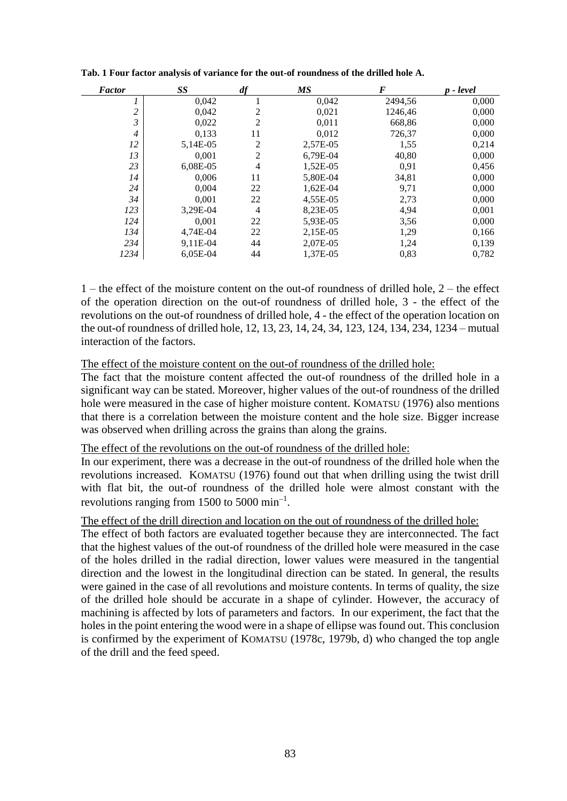| <b>Factor</b>  | SS       | df             | <b>MS</b> | $\bm{F}$ | p - level |
|----------------|----------|----------------|-----------|----------|-----------|
|                | 0,042    |                | 0,042     | 2494,56  | 0,000     |
| 2              | 0,042    | 2              | 0,021     | 1246,46  | 0,000     |
| 3              | 0,022    | 2              | 0,011     | 668,86   | 0,000     |
| $\overline{4}$ | 0,133    | 11             | 0,012     | 726,37   | 0,000     |
| 12             | 5,14E-05 | $\overline{2}$ | 2,57E-05  | 1,55     | 0,214     |
| 13             | 0,001    | $\overline{c}$ | 6,79E-04  | 40,80    | 0,000     |
| 23             | 6,08E-05 | 4              | 1,52E-05  | 0,91     | 0,456     |
| 14             | 0,006    | 11             | 5,80E-04  | 34,81    | 0,000     |
| 24             | 0.004    | 22             | 1,62E-04  | 9,71     | 0,000     |
| 34             | 0.001    | 22             | 4,55E-05  | 2,73     | 0,000     |
| 123            | 3,29E-04 | 4              | 8,23E-05  | 4,94     | 0,001     |
| 124            | 0,001    | 22             | 5,93E-05  | 3,56     | 0,000     |
| 134            | 4,74E-04 | 22             | 2,15E-05  | 1,29     | 0,166     |
| 234            | 9,11E-04 | 44             | 2,07E-05  | 1,24     | 0,139     |
| 1234           | 6,05E-04 | 44             | 1,37E-05  | 0,83     | 0,782     |

**Tab. 1 Four factor analysis of variance for the out-of roundness of the drilled hole A.**

1 – the effect of the moisture content on the out-of roundness of drilled hole, 2 – the effect of the operation direction on the out-of roundness of drilled hole, 3 - the effect of the revolutions on the out-of roundness of drilled hole, 4 - the effect of the operation location on the out-of roundness of drilled hole, 12, 13, 23, 14, 24, 34, 123, 124, 134, 234, 1234 – mutual interaction of the factors.

### The effect of the moisture content on the out-of roundness of the drilled hole:

The fact that the moisture content affected the out-of roundness of the drilled hole in a significant way can be stated. Moreover, higher values of the out-of roundness of the drilled hole were measured in the case of higher moisture content. KOMATSU (1976) also mentions that there is a correlation between the moisture content and the hole size. Bigger increase was observed when drilling across the grains than along the grains.

### The effect of the revolutions on the out-of roundness of the drilled hole:

In our experiment, there was a decrease in the out-of roundness of the drilled hole when the revolutions increased. KOMATSU (1976) found out that when drilling using the twist drill with flat bit, the out-of roundness of the drilled hole were almost constant with the revolutions ranging from  $1500$  to  $5000$  min<sup>-1</sup>.

## The effect of the drill direction and location on the out of roundness of the drilled hole:

The effect of both factors are evaluated together because they are interconnected. The fact that the highest values of the out-of roundness of the drilled hole were measured in the case of the holes drilled in the radial direction, lower values were measured in the tangential direction and the lowest in the longitudinal direction can be stated. In general, the results were gained in the case of all revolutions and moisture contents. In terms of quality, the size of the drilled hole should be accurate in a shape of cylinder. However, the accuracy of machining is affected by lots of parameters and factors. In our experiment, the fact that the holes in the point entering the wood were in a shape of ellipse was found out. This conclusion is confirmed by the experiment of KOMATSU (1978c, 1979b, d) who changed the top angle of the drill and the feed speed.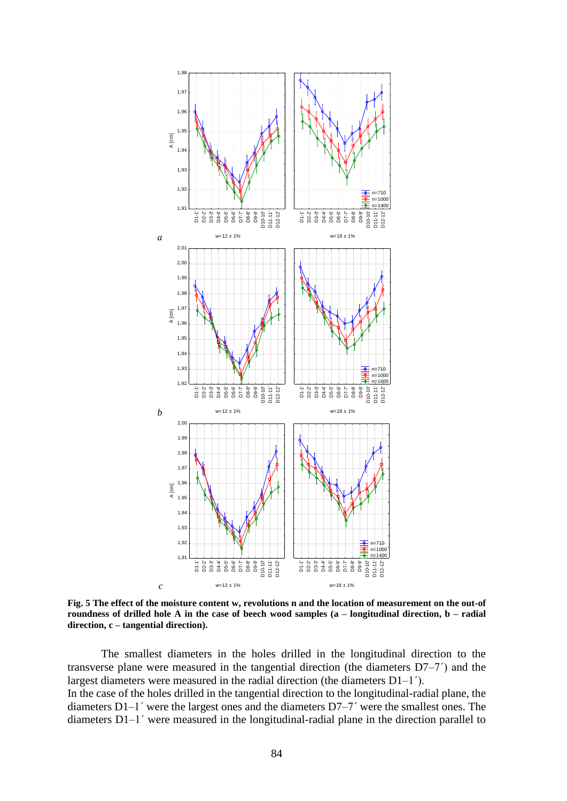

**Fig. 5 The effect of the moisture content w, revolutions n and the location of measurement on the out-of roundness of drilled hole A in the case of beech wood samples (a – longitudinal direction, b – radial direction, c – tangential direction).**

The smallest diameters in the holes drilled in the longitudinal direction to the transverse plane were measured in the tangential direction (the diameters D7–7´) and the largest diameters were measured in the radial direction (the diameters D1–1´).

In the case of the holes drilled in the tangential direction to the longitudinal-radial plane, the diameters D1–1´ were the largest ones and the diameters D7–7´ were the smallest ones. The diameters D1–1´ were measured in the longitudinal-radial plane in the direction parallel to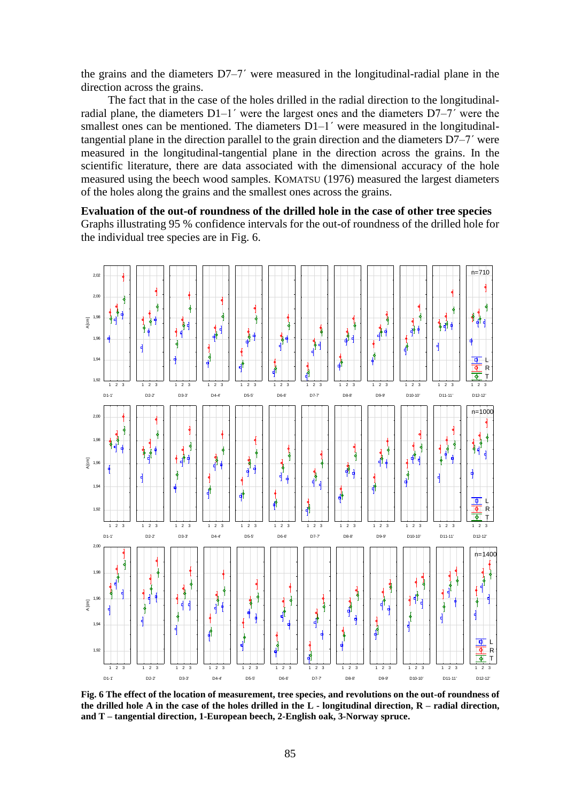the grains and the diameters D7–7´ were measured in the longitudinal-radial plane in the direction across the grains.

The fact that in the case of the holes drilled in the radial direction to the longitudinalradial plane, the diameters D1–1´ were the largest ones and the diameters D7–7´ were the smallest ones can be mentioned. The diameters  $D1-1'$  were measured in the longitudinaltangential plane in the direction parallel to the grain direction and the diameters D7–7´ were measured in the longitudinal-tangential plane in the direction across the grains. In the scientific literature, there are data associated with the dimensional accuracy of the hole measured using the beech wood samples. KOMATSU (1976) measured the largest diameters of the holes along the grains and the smallest ones across the grains.

**Evaluation of the out-of roundness of the drilled hole in the case of other tree species**  Graphs illustrating 95 % confidence intervals for the out-of roundness of the drilled hole for the individual tree species are in Fig. 6.



**Fig. 6 The effect of the location of measurement, tree species, and revolutions on the out-of roundness of the drilled hole A in the case of the holes drilled in the L - longitudinal direction, R – radial direction, and T – tangential direction, 1-European beech, 2-English oak, 3-Norway spruce.**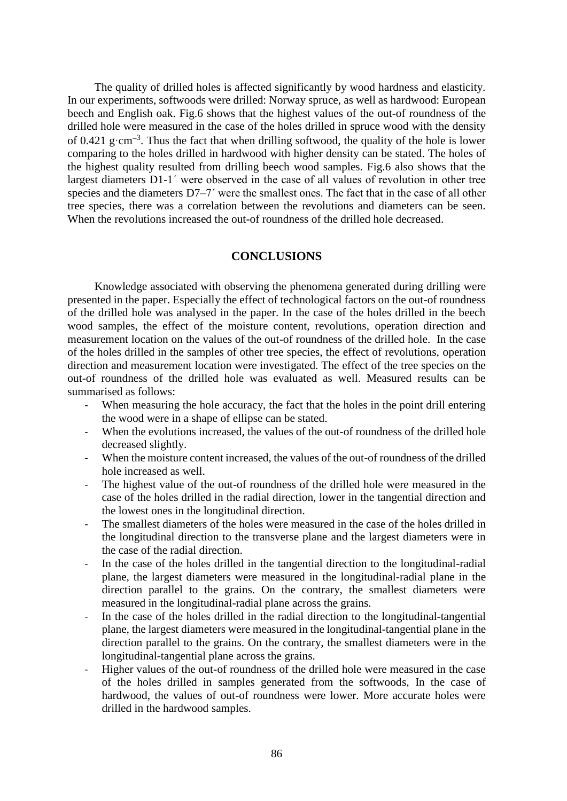The quality of drilled holes is affected significantly by wood hardness and elasticity. In our experiments, softwoods were drilled: Norway spruce, as well as hardwood: European beech and English oak. Fig.6 shows that the highest values of the out-of roundness of the drilled hole were measured in the case of the holes drilled in spruce wood with the density of 0.421  $g \cdot cm^{-3}$ . Thus the fact that when drilling softwood, the quality of the hole is lower comparing to the holes drilled in hardwood with higher density can be stated. The holes of the highest quality resulted from drilling beech wood samples. Fig.6 also shows that the largest diameters D1-1´ were observed in the case of all values of revolution in other tree species and the diameters D7–7<sup>'</sup> were the smallest ones. The fact that in the case of all other tree species, there was a correlation between the revolutions and diameters can be seen. When the revolutions increased the out-of roundness of the drilled hole decreased.

## **CONCLUSIONS**

Knowledge associated with observing the phenomena generated during drilling were presented in the paper. Especially the effect of technological factors on the out-of roundness of the drilled hole was analysed in the paper. In the case of the holes drilled in the beech wood samples, the effect of the moisture content, revolutions, operation direction and measurement location on the values of the out-of roundness of the drilled hole. In the case of the holes drilled in the samples of other tree species, the effect of revolutions, operation direction and measurement location were investigated. The effect of the tree species on the out-of roundness of the drilled hole was evaluated as well. Measured results can be summarised as follows:

- When measuring the hole accuracy, the fact that the holes in the point drill entering the wood were in a shape of ellipse can be stated.
- When the evolutions increased, the values of the out-of roundness of the drilled hole decreased slightly.
- When the moisture content increased, the values of the out-of roundness of the drilled hole increased as well.
- The highest value of the out-of roundness of the drilled hole were measured in the case of the holes drilled in the radial direction, lower in the tangential direction and the lowest ones in the longitudinal direction.
- The smallest diameters of the holes were measured in the case of the holes drilled in the longitudinal direction to the transverse plane and the largest diameters were in the case of the radial direction.
- In the case of the holes drilled in the tangential direction to the longitudinal-radial plane, the largest diameters were measured in the longitudinal-radial plane in the direction parallel to the grains. On the contrary, the smallest diameters were measured in the longitudinal-radial plane across the grains.
- In the case of the holes drilled in the radial direction to the longitudinal-tangential plane, the largest diameters were measured in the longitudinal-tangential plane in the direction parallel to the grains. On the contrary, the smallest diameters were in the longitudinal-tangential plane across the grains.
- Higher values of the out-of roundness of the drilled hole were measured in the case of the holes drilled in samples generated from the softwoods, In the case of hardwood, the values of out-of roundness were lower. More accurate holes were drilled in the hardwood samples.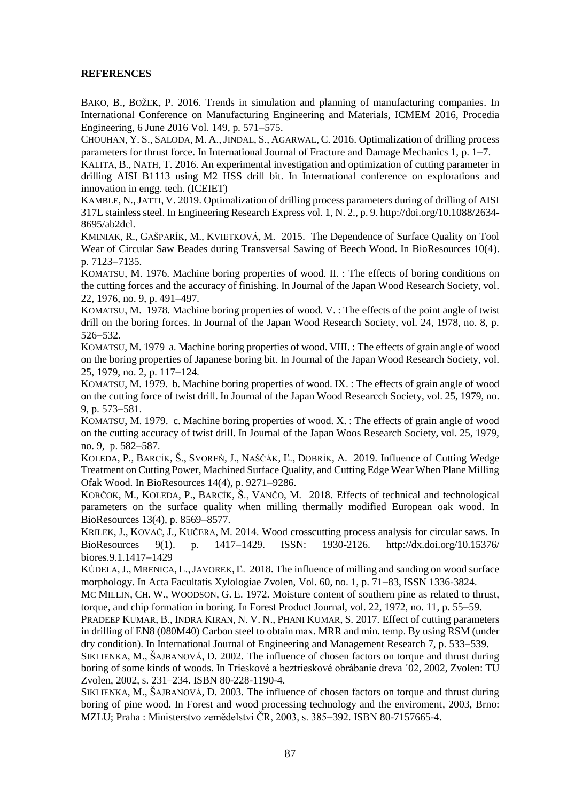### **REFERENCES**

BAKO, B., BOŽEK, P. 2016. Trends in simulation and planning of manufacturing companies. In International Conference on Manufacturing Engineering and Materials, ICMEM 2016, Procedia Engineering, 6 June 2016 Vol. 149, p.  $571-575$ .

CHOUHAN, Y. S., SALODA, M. A.,JINDAL, S., AGARWAL, C. 2016. Optimalization of drilling process parameters for thrust force. In International Journal of Fracture and Damage Mechanics 1, p.  $1-7$ .

KALITA, B., NATH, T. 2016. An experimental investigation and optimization of cutting parameter in drilling AISI B1113 using M2 HSS drill bit. In International conference on explorations and innovation in engg. tech. (ICEIET)

KAMBLE, N.,JATTI, V. 2019. Optimalization of drilling process parameters during of drilling of AISI 317L stainless steel. In Engineering Research Express vol. 1, N. 2., p. 9. http://doi.org/10.1088/2634- 8695/ab2dcl.

KMINIAK, R., GAŠPARÍK, M., KVIETKOVÁ, M. 2015. The Dependence of Surface Quality on Tool Wear of Circular Saw Beades during Transversal Sawing of Beech Wood. In BioResources 10(4). p. 7123-7135.

KOMATSU, M. 1976. Machine boring properties of wood. II. : The effects of boring conditions on the cutting forces and the accuracy of finishing. In Journal of the Japan Wood Research Society, vol. 22, 1976, no. 9, p. 491–497.

KOMATSU, M. 1978. Machine boring properties of wood. V. : The effects of the point angle of twist drill on the boring forces. In Journal of the Japan Wood Research Society, vol. 24, 1978, no. 8, p.  $526 - 532.$ 

KOMATSU, M. 1979 a. Machine boring properties of wood. VIII. : The effects of grain angle of wood on the boring properties of Japanese boring bit. In Journal of the Japan Wood Research Society, vol. 25, 1979, no. 2, p. 117–124.

KOMATSU, M. 1979. b. Machine boring properties of wood. IX. : The effects of grain angle of wood on the cutting force of twist drill. In Journal of the Japan Wood Researcch Society, vol. 25, 1979, no. 9, p.  $573 - 581$ .

KOMATSU, M. 1979. c. Machine boring properties of wood. X. : The effects of grain angle of wood on the cutting accuracy of twist drill. In Journal of the Japan Woos Research Society, vol. 25, 1979, no. 9, p. 582–587.

KOLEDA, P., BARCÍK, Š., SVOREŇ, J., NAŠČÁK, Ľ., DOBRÍK, A. 2019. Influence of Cutting Wedge Treatment on Cutting Power, Machined Surface Quality, and Cutting Edge Wear When Plane Milling Ofak Wood. In BioResources 14(4), p. 9271–9286.

KORČOK, M., KOLEDA, P., BARCÍK, Š., VANČO, M. 2018. Effects of technical and technological parameters on the surface quality when milling thermally modified European oak wood. In BioResources 13(4), p. 8569–8577.

KRILEK, J., KOVAČ, J., KUČERA, M. 2014. Wood crosscutting process analysis for circular saws. In BioResources 9(1). p. 14171429. ISSN: 1930-2126. http://dx.doi.org/10.15376/ biores. $9.1.1417 - 1429$ 

KÚDELA,J., MRENICA, L.,JAVOREK, Ľ. 2018. The influence of milling and sanding on wood surface morphology. In Acta Facultatis Xylologiae Zvolen, Vol. 60, no. 1, p. 71–83, ISSN 1336-3824.

MC MILLIN, CH. W., WOODSON, G. E. 1972. Moisture content of southern pine as related to thrust, torque, and chip formation in boring. In Forest Product Journal, vol. 22, 1972, no. 11, p. 55–59.

PRADEEP KUMAR, B., INDRA KIRAN, N. V. N., PHANI KUMAR, S. 2017. Effect of cutting parameters in drilling of EN8 (080M40) Carbon steel to obtain max. MRR and min. temp. By using RSM (under dry condition). In International Journal of Engineering and Management Research 7, p. 533–539.

SIKLIENKA, M., ŠAJBANOVÁ, D. 2002. The influence of chosen factors on torque and thrust during boring of some kinds of woods. In Trieskové a beztrieskové obrábanie dreva ´02, 2002, Zvolen: TU Zvolen, 2002, s. 231–234. ISBN 80-228-1190-4.

SIKLIENKA, M., ŠAJBANOVÁ, D. 2003. The influence of chosen factors on torque and thrust during boring of pine wood. In Forest and wood processing technology and the enviroment, 2003, Brno: MZLU; Praha : Ministerstvo zemědelství ČR, 2003, s. 385–392. ISBN 80-7157665-4.